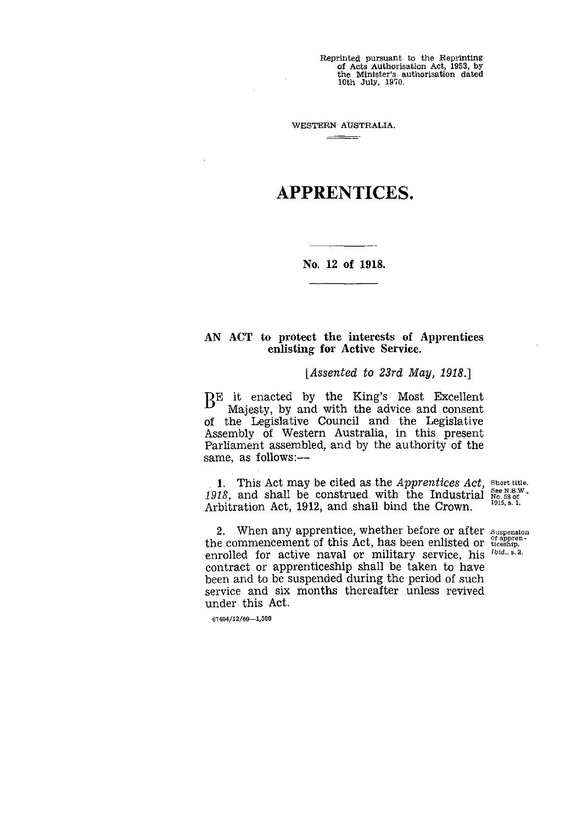Reprinted pursuant to the Reprinting of Acts Authorisation Act, 1953, by the Minister's authorisation dated 10th July, 1970.

WESTERN AUSTRALIA.  $\overline{\phantom{a}}$  . The contract of  $\overline{\phantom{a}}$ 

 $\mathbf{r}$ 

## APPRENTICES.

**No. 12 of 1918.**

## AN ACT to protect **the interests of Apprentices enlisting for Active Service.**

*[Assented to 23rd May, 1918.]*

BE it enacted by the King's Most Excellent Majesty, by and with the advice and consent of the Legislative Council and the Legislative Assembly of Western Australia, in this present Parliament assembled, and by the authority of the same, as follows:—

1. This Act may be cited as the *Apprentices Act*, short title. 1918, and shall be construed with the Industrial See N.S.W.,<br>Achitection Act, 1912, and shall hind the Crown Arbitration Act, 1912, and shall bind the Crown.

2. When any apprentice, whether before or after Suspension the commencement of this Act, has been enlisted or  $\frac{of\;approx}{t\;text{t}}$ . Enristing for Active service.<br>
[Assented to 23rd May, 1918.]<br>
BE it enacted by the King's Most Excellent<br>
of Majesty, by and with the advice and consent<br>
of the Legislative Council and the Legislative<br>
Assembly of Western enrolled for active naval or military service, his <sup>Ibid., s.2.</sup> contract or apprenticeship shall be taken to have been and to be suspended during the period of such service and six months thereafter unless revived under this Act.

67404/12/69-1,500